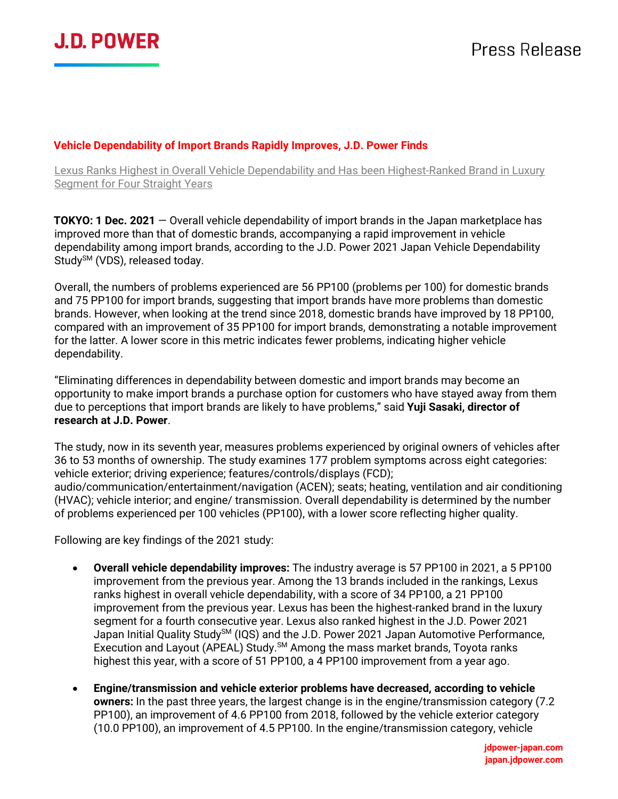

#### **Vehicle Dependability of Import Brands Rapidly Improves, J.D. Power Finds**

Lexus Ranks Highest in Overall Vehicle Dependability and Has been Highest-Ranked Brand in Luxury Segment for Four Straight Years

**TOKYO: 1 Dec. 2021** — Overall vehicle dependability of import brands in the Japan marketplace has improved more than that of domestic brands, accompanying a rapid improvement in vehicle dependability among import brands, according to the J.D. Power 2021 Japan Vehicle Dependability Study<sup>SM</sup> (VDS), released today.

Overall, the numbers of problems experienced are 56 PP100 (problems per 100) for domestic brands and 75 PP100 for import brands, suggesting that import brands have more problems than domestic brands. However, when looking at the trend since 2018, domestic brands have improved by 18 PP100, compared with an improvement of 35 PP100 for import brands, demonstrating a notable improvement for the latter. A lower score in this metric indicates fewer problems, indicating higher vehicle dependability.

"Eliminating differences in dependability between domestic and import brands may become an opportunity to make import brands a purchase option for customers who have stayed away from them due to perceptions that import brands are likely to have problems," said **Yuji Sasaki, director of research at J.D. Power**.

The study, now in its seventh year, measures problems experienced by original owners of vehicles after 36 to 53 months of ownership. The study examines 177 problem symptoms across eight categories: vehicle exterior; driving experience; features/controls/displays (FCD); audio/communication/entertainment/navigation (ACEN); seats; heating, ventilation and air conditioning (HVAC); vehicle interior; and engine/ transmission. Overall dependability is determined by the number of problems experienced per 100 vehicles (PP100), with a lower score reflecting higher quality.

Following are key findings of the 2021 study:

- **Overall vehicle dependability improves:** The industry average is 57 PP100 in 2021, a 5 PP100 improvement from the previous year. Among the 13 brands included in the rankings, Lexus ranks highest in overall vehicle dependability, with a score of 34 PP100, a 21 PP100 improvement from the previous year. Lexus has been the highest-ranked brand in the luxury segment for a fourth consecutive year. Lexus also ranked highest in the J.D. Power 2021 Japan Initial Quality Study<sup>SM</sup> (IQS) and the J.D. Power 2021 Japan Automotive Performance, Execution and Layout (APEAL) Study.<sup>SM</sup> Among the mass market brands, Toyota ranks highest this year, with a score of 51 PP100, a 4 PP100 improvement from a year ago.
- **Engine/transmission and vehicle exterior problems have decreased, according to vehicle owners:** In the past three years, the largest change is in the engine/transmission category (7.2 PP100), an improvement of 4.6 PP100 from 2018, followed by the vehicle exterior category (10.0 PP100), an improvement of 4.5 PP100. In the engine/transmission category, vehicle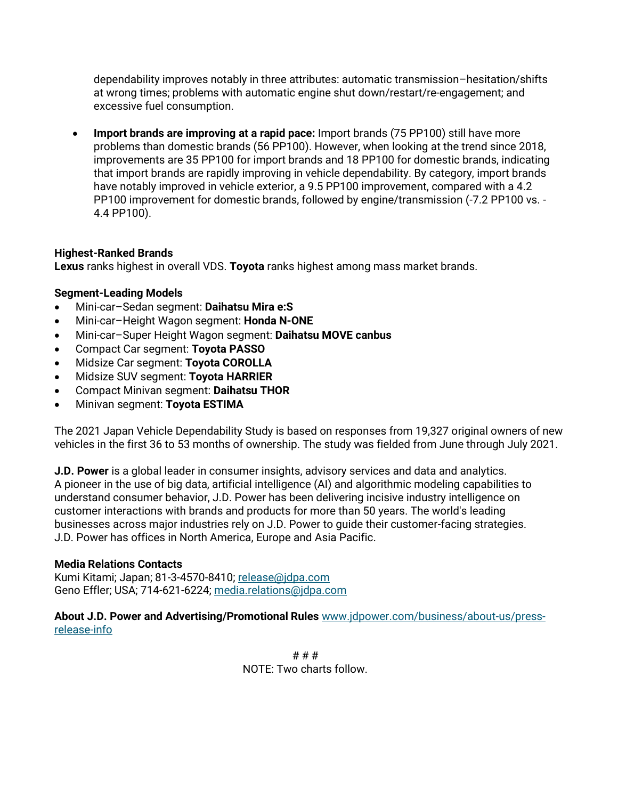dependability improves notably in three attributes: automatic transmission–hesitation/shifts at wrong times; problems with automatic engine shut down/restart/re-engagement; and excessive fuel consumption.

• **Import brands are improving at a rapid pace:** Import brands (75 PP100) still have more problems than domestic brands (56 PP100). However, when looking at the trend since 2018, improvements are 35 PP100 for import brands and 18 PP100 for domestic brands, indicating that import brands are rapidly improving in vehicle dependability. By category, import brands have notably improved in vehicle exterior, a 9.5 PP100 improvement, compared with a 4.2 PP100 improvement for domestic brands, followed by engine/transmission (-7.2 PP100 vs. - 4.4 PP100).

# **Highest-Ranked Brands**

**Lexus** ranks highest in overall VDS. **Toyota** ranks highest among mass market brands.

# **Segment-Leading Models**

- Mini-car–Sedan segment: **Daihatsu Mira e:S**
- Mini-car–Height Wagon segment: **Honda N-ONE**
- Mini-car–Super Height Wagon segment: **Daihatsu MOVE canbus**
- Compact Car segment: **Toyota PASSO**
- Midsize Car segment: **Toyota COROLLA**
- Midsize SUV segment: **Toyota HARRIER**
- Compact Minivan segment: **Daihatsu THOR**
- Minivan segment: **Toyota ESTIMA**

The 2021 Japan Vehicle Dependability Study is based on responses from 19,327 original owners of new vehicles in the first 36 to 53 months of ownership. The study was fielded from June through July 2021.

**J.D. Power** is a global leader in consumer insights, advisory services and data and analytics. A pioneer in the use of big data, artificial intelligence (AI) and algorithmic modeling capabilities to understand consumer behavior, J.D. Power has been delivering incisive industry intelligence on customer interactions with brands and products for more than 50 years. The world's leading businesses across major industries rely on J.D. Power to guide their customer-facing strategies. J.D. Power has offices in North America, Europe and Asia Pacific.

### **Media Relations Contacts**

Kumi Kitami; Japan; 81-3-4570-8410; [release@jdpa.com](mailto:release@jdpa.com) Geno Effler; USA; 714-621-6224; [media.relations@jdpa.com](mailto:media.relations@jdpa.com)

**About J.D. Power and Advertising/Promotional Rules** [www.jdpower.com/business/about-us/press](file:///C:/Users/jillian.breska/AppData/Local/Microsoft/Windows/Temporary%20Internet%20Files/Content.Outlook/8BFIEX2I/www.jdpower.com/business/about-us/press-release-info)[release-info](file:///C:/Users/jillian.breska/AppData/Local/Microsoft/Windows/Temporary%20Internet%20Files/Content.Outlook/8BFIEX2I/www.jdpower.com/business/about-us/press-release-info)

> # # # NOTE: Two charts follow.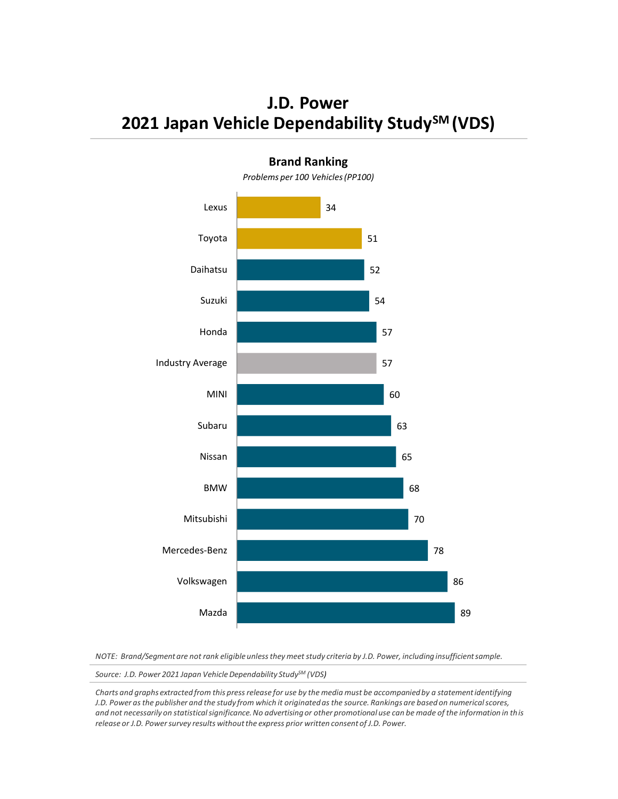**J.D. Power 2021 Japan Vehicle Dependability StudySM (VDS)**



**Brand Ranking**

*NOTE: Brand/Segment are not rank eligible unless they meet study criteria by J.D. Power, including insufficient sample.*

*Source: J.D. Power 2021 Japan VehicleDependability StudySM (VDS)*

*Charts and graphs extracted from this press release for use by the media must be accompanied by a statement identifying J.D. Power as the publisher and the study from which it originated as the source. Rankings are based on numerical scores, and not necessarily on statistical significance. No advertising or other promotional use can be made of the information in this release or J.D. Power survey results without the express prior written consent of J.D. Power.*